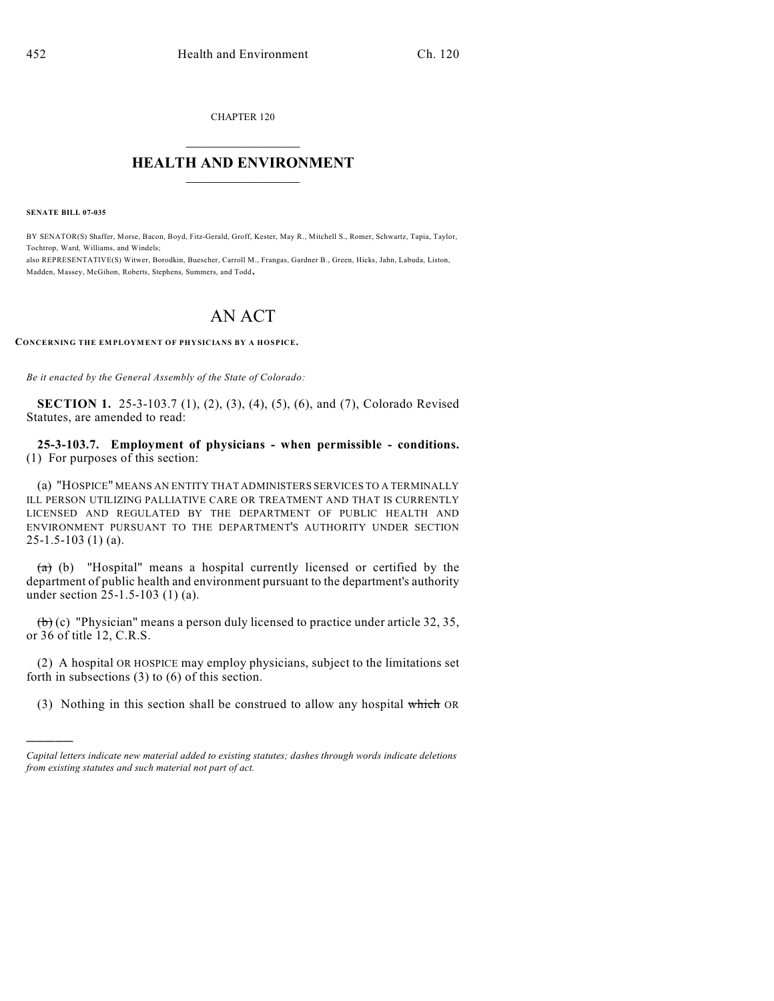CHAPTER 120

## $\mathcal{L}_\text{max}$  . The set of the set of the set of the set of the set of the set of the set of the set of the set of the set of the set of the set of the set of the set of the set of the set of the set of the set of the set **HEALTH AND ENVIRONMENT**  $\_$

**SENATE BILL 07-035**

)))))

BY SENATOR(S) Shaffer, Morse, Bacon, Boyd, Fitz-Gerald, Groff, Kester, May R., Mitchell S., Romer, Schwartz, Tapia, Taylor, Tochtrop, Ward, Williams, and Windels; also REPRESENTATIVE(S) Witwer, Borodkin, Buescher, Carroll M., Frangas, Gardner B., Green, Hicks, Jahn, Labuda, Liston,

Madden, Massey, McGihon, Roberts, Stephens, Summers, and Todd.

## AN ACT

**CONCERNING THE EMPLOYMENT OF PHYSICIANS BY A HOSPICE.**

*Be it enacted by the General Assembly of the State of Colorado:*

**SECTION 1.** 25-3-103.7 (1), (2), (3), (4), (5), (6), and (7), Colorado Revised Statutes, are amended to read:

**25-3-103.7. Employment of physicians - when permissible - conditions.** (1) For purposes of this section:

(a) "HOSPICE" MEANS AN ENTITY THAT ADMINISTERS SERVICES TO A TERMINALLY ILL PERSON UTILIZING PALLIATIVE CARE OR TREATMENT AND THAT IS CURRENTLY LICENSED AND REGULATED BY THE DEPARTMENT OF PUBLIC HEALTH AND ENVIRONMENT PURSUANT TO THE DEPARTMENT'S AUTHORITY UNDER SECTION 25-1.5-103 (1) (a).

 $(a)$  (b) "Hospital" means a hospital currently licensed or certified by the department of public health and environment pursuant to the department's authority under section 25-1.5-103 (1) (a).

 $(b)$  (c) "Physician" means a person duly licensed to practice under article 32, 35, or 36 of title 12, C.R.S.

(2) A hospital OR HOSPICE may employ physicians, subject to the limitations set forth in subsections (3) to (6) of this section.

(3) Nothing in this section shall be construed to allow any hospital which OR

*Capital letters indicate new material added to existing statutes; dashes through words indicate deletions from existing statutes and such material not part of act.*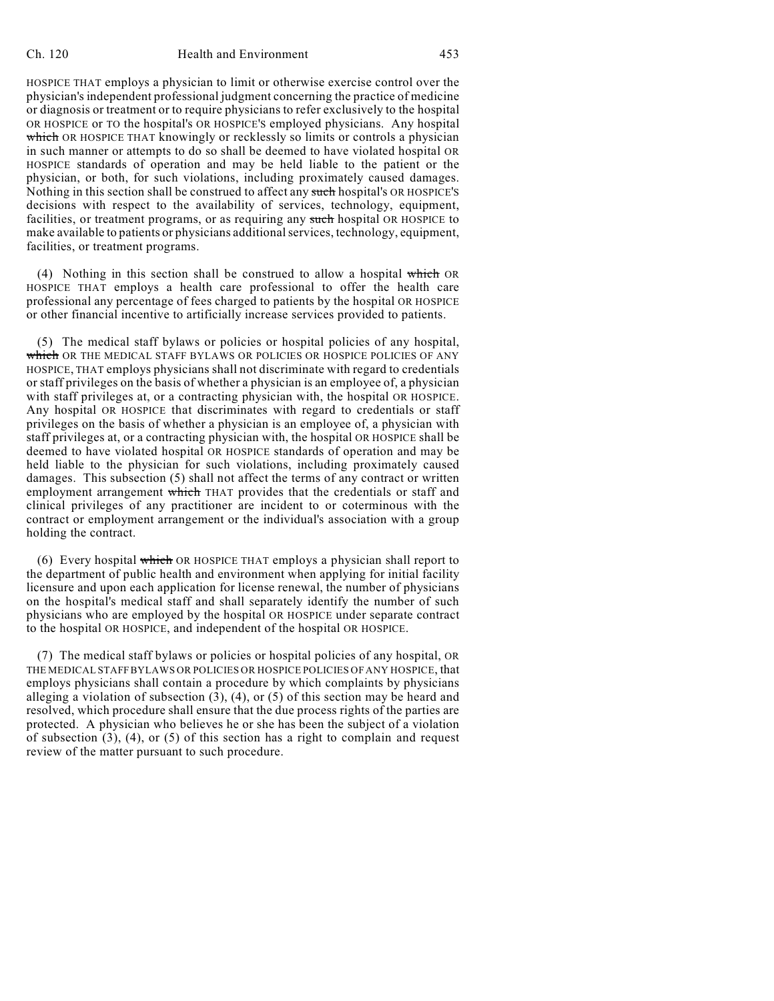## Ch. 120 Health and Environment 453

HOSPICE THAT employs a physician to limit or otherwise exercise control over the physician's independent professional judgment concerning the practice of medicine or diagnosis or treatment or to require physicians to refer exclusively to the hospital OR HOSPICE or TO the hospital's OR HOSPICE'S employed physicians. Any hospital which OR HOSPICE THAT knowingly or recklessly so limits or controls a physician in such manner or attempts to do so shall be deemed to have violated hospital OR HOSPICE standards of operation and may be held liable to the patient or the physician, or both, for such violations, including proximately caused damages. Nothing in this section shall be construed to affect any such hospital's OR HOSPICE'S decisions with respect to the availability of services, technology, equipment, facilities, or treatment programs, or as requiring any such hospital OR HOSPICE to make available to patients or physicians additional services, technology, equipment, facilities, or treatment programs.

(4) Nothing in this section shall be construed to allow a hospital which OR HOSPICE THAT employs a health care professional to offer the health care professional any percentage of fees charged to patients by the hospital OR HOSPICE or other financial incentive to artificially increase services provided to patients.

(5) The medical staff bylaws or policies or hospital policies of any hospital, which OR THE MEDICAL STAFF BYLAWS OR POLICIES OR HOSPICE POLICIES OF ANY HOSPICE, THAT employs physicians shall not discriminate with regard to credentials or staff privileges on the basis of whether a physician is an employee of, a physician with staff privileges at, or a contracting physician with, the hospital OR HOSPICE. Any hospital OR HOSPICE that discriminates with regard to credentials or staff privileges on the basis of whether a physician is an employee of, a physician with staff privileges at, or a contracting physician with, the hospital OR HOSPICE shall be deemed to have violated hospital OR HOSPICE standards of operation and may be held liable to the physician for such violations, including proximately caused damages. This subsection (5) shall not affect the terms of any contract or written employment arrangement which THAT provides that the credentials or staff and clinical privileges of any practitioner are incident to or coterminous with the contract or employment arrangement or the individual's association with a group holding the contract.

(6) Every hospital which OR HOSPICE THAT employs a physician shall report to the department of public health and environment when applying for initial facility licensure and upon each application for license renewal, the number of physicians on the hospital's medical staff and shall separately identify the number of such physicians who are employed by the hospital OR HOSPICE under separate contract to the hospital OR HOSPICE, and independent of the hospital OR HOSPICE.

(7) The medical staff bylaws or policies or hospital policies of any hospital, OR THE MEDICAL STAFF BYLAWS OR POLICIES OR HOSPICE POLICIES OF ANY HOSPICE, that employs physicians shall contain a procedure by which complaints by physicians alleging a violation of subsection  $(3)$ ,  $(4)$ , or  $(5)$  of this section may be heard and resolved, which procedure shall ensure that the due process rights of the parties are protected. A physician who believes he or she has been the subject of a violation of subsection  $(3)$ ,  $(4)$ , or  $(5)$  of this section has a right to complain and request review of the matter pursuant to such procedure.